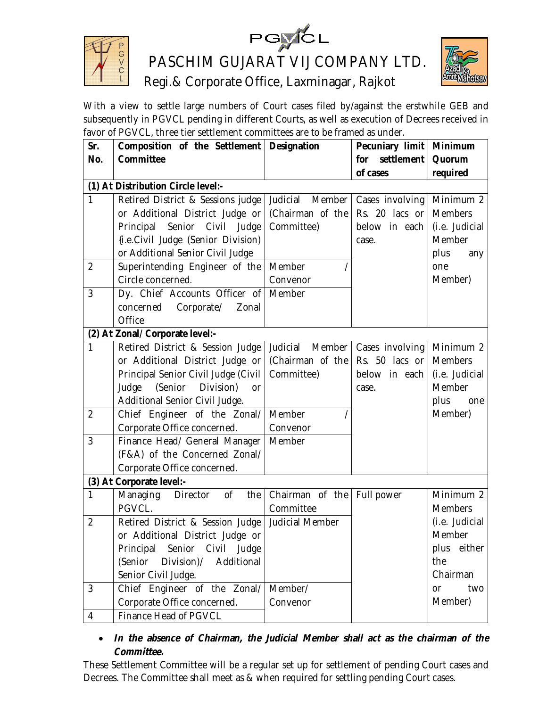

PGYCL<br>PASCHIM GUJARAT VIJ COMPANY LTD.



Regi.& Corporate Office, Laxminagar, Rajkot

With a view to settle large numbers of Court cases filed by/against the erstwhile GEB and subsequently in PGVCL pending in different Courts, as well as execution of Decrees received in favor of PGVCL, three tier settlement committees are to be framed as under.

| Sr.                                | Composition of the Settlement   Designation        |                              | Pecuniary limit   Minimum |                |  |
|------------------------------------|----------------------------------------------------|------------------------------|---------------------------|----------------|--|
| No.                                | <b>Committee</b>                                   |                              | settlement<br>for         | Quorum         |  |
|                                    |                                                    |                              | of cases                  | required       |  |
| (1) At Distribution Circle level:- |                                                    |                              |                           |                |  |
| 1                                  | Retired District & Sessions judge Judicial         | Member                       | Cases involving           | Minimum 2      |  |
|                                    | or Additional District Judge or                    | (Chairman of the             | Rs. 20 lacs or            | <b>Members</b> |  |
|                                    | Principal<br>Senior Civil<br>Judge                 | Committee)                   | below in each             | (i.e. Judicial |  |
|                                    | {i.e.Civil Judge (Senior Division)                 |                              | case.                     | Member         |  |
|                                    | or Additional Senior Civil Judge                   |                              |                           | plus<br>any    |  |
| $\overline{2}$                     | Superintending Engineer of the                     | Member                       |                           | one            |  |
|                                    | Circle concerned.                                  | Convenor                     |                           | Member)        |  |
| 3                                  | Dy. Chief Accounts Officer of                      | Member                       |                           |                |  |
|                                    | Corporate/<br>concerned<br>Zonal                   |                              |                           |                |  |
|                                    | Office                                             |                              |                           |                |  |
|                                    | (2) At Zonal/ Corporate level:-                    |                              |                           |                |  |
| 1                                  | Retired District & Session Judge                   | Judicial<br>Member           | Cases involving           | Minimum 2      |  |
|                                    | or Additional District Judge or                    | (Chairman of the             | Rs. 50 lacs or            | <b>Members</b> |  |
|                                    | Principal Senior Civil Judge (Civil                | Committee)                   | below in each             | (i.e. Judicial |  |
|                                    | (Senior<br>Judge<br>Division)<br>or                |                              | case.                     | Member         |  |
|                                    | Additional Senior Civil Judge.                     |                              |                           | plus<br>one    |  |
| $\overline{2}$                     | Chief Engineer of the Zonal/                       | Member                       |                           | Member)        |  |
|                                    | Corporate Office concerned.                        | Convenor                     |                           |                |  |
| 3                                  | Finance Head/ General Manager                      | Member                       |                           |                |  |
|                                    | (F&A) of the Concerned Zonal/                      |                              |                           |                |  |
|                                    | Corporate Office concerned.                        |                              |                           |                |  |
|                                    | (3) At Corporate level:-                           |                              |                           |                |  |
| 1                                  | of<br>Managing<br>Director<br>the                  | Chairman of the   Full power |                           | Minimum 2      |  |
|                                    | PGVCL.                                             | Committee                    |                           | <b>Members</b> |  |
| $\overline{2}$                     | Retired District & Session Judge   Judicial Member |                              |                           | (i.e. Judicial |  |
|                                    | or Additional District Judge or                    |                              |                           | Member         |  |
|                                    | Principal Senior Civil Judge                       |                              |                           | plus either    |  |
|                                    | (Senior Division)/<br>Additional                   |                              |                           | the            |  |
|                                    | Senior Civil Judge.                                |                              |                           | Chairman       |  |
| 3                                  | Chief Engineer of the Zonal/                       | Member/                      |                           | two<br>or      |  |
|                                    | Corporate Office concerned.                        | Convenor                     |                           | Member)        |  |
| 4                                  | Finance Head of PGVCL                              |                              |                           |                |  |

# *In the absence of Chairman, the Judicial Member shall act as the chairman of the Committee.*

These Settlement Committee will be a regular set up for settlement of pending Court cases and Decrees. The Committee shall meet as & when required for settling pending Court cases.